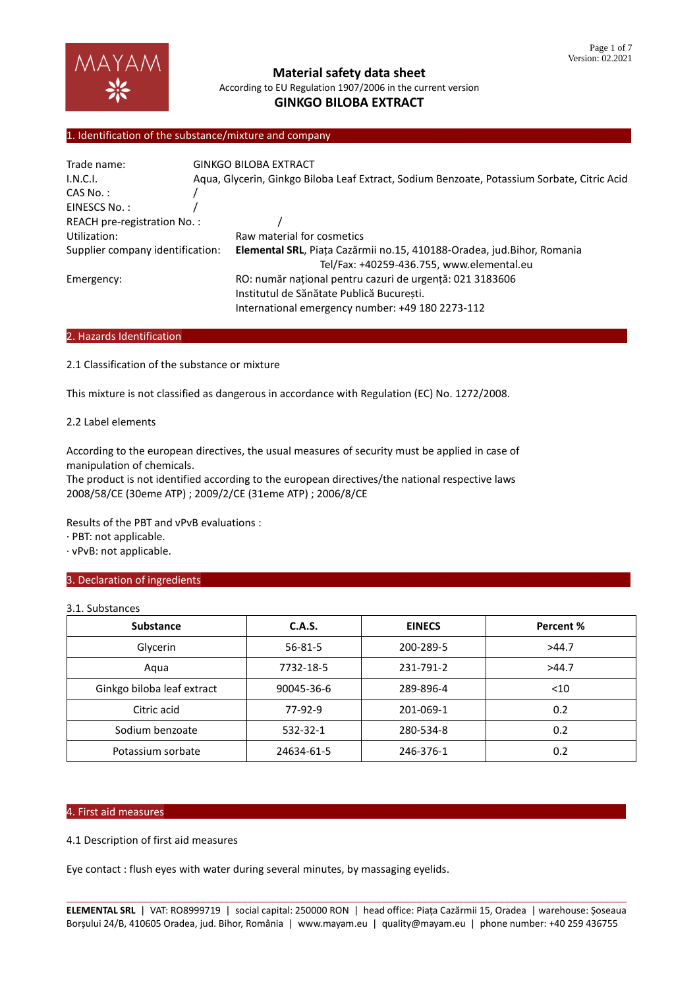

# 1. Identification of the substance/mixture and company

| Trade name:                      |  | <b>GINKGO BILOBA EXTRACT</b>                                                                |  |  |
|----------------------------------|--|---------------------------------------------------------------------------------------------|--|--|
| I.N.C.I.                         |  | Aqua, Glycerin, Ginkgo Biloba Leaf Extract, Sodium Benzoate, Potassium Sorbate, Citric Acid |  |  |
| $CAS No.$ :                      |  |                                                                                             |  |  |
| EINESCS No.:                     |  |                                                                                             |  |  |
| REACH pre-registration No.:      |  |                                                                                             |  |  |
| Utilization:                     |  | Raw material for cosmetics                                                                  |  |  |
| Supplier company identification: |  | Elemental SRL, Piața Cazărmii no.15, 410188-Oradea, jud. Bihor, Romania                     |  |  |
|                                  |  | Tel/Fax: +40259-436.755, www.elemental.eu                                                   |  |  |
| Emergency:                       |  | RO: număr național pentru cazuri de urgență: 021 3183606                                    |  |  |
|                                  |  | Institutul de Sănătate Publică Bucuresti.                                                   |  |  |
|                                  |  | International emergency number: +49 180 2273-112                                            |  |  |

# 2. Hazards Identification

2.1 Classification of the substance or mixture

This mixture is not classified as dangerous in accordance with Regulation (EC) No. 1272/2008.

#### 2.2 Label elements

According to the european directives, the usual measures of security must be applied in case of manipulation of chemicals.

The product is not identified according to the european directives/the national respective laws 2008/58/CE (30eme ATP) ; 2009/2/CE (31eme ATP) ; 2006/8/CE

Results of the PBT and vPvB evaluations :

· PBT: not applicable.

· vPvB: not applicable.

#### 3. Declaration of ingredients

3.1. Substances

| <b>Substance</b>           | C.A.S.        | <b>EINECS</b> | Percent % |
|----------------------------|---------------|---------------|-----------|
| Glycerin                   | $56 - 81 - 5$ | 200-289-5     | >44.7     |
| Aqua                       | 7732-18-5     | 231-791-2     | >44.7     |
| Ginkgo biloba leaf extract | 90045-36-6    | 289-896-4     | $<$ 10    |
| Citric acid                | $77-92-9$     | 201-069-1     | 0.2       |
| Sodium benzoate            | 532-32-1      | 280-534-8     | 0.2       |
| Potassium sorbate          | 24634-61-5    | 246-376-1     | 0.2       |

# 4. First aid measures………………………………………………………………………………………………………………………………………………………

4.1 Description of first aid measures

Eye contact : flush eyes with water during several minutes, by massaging eyelids.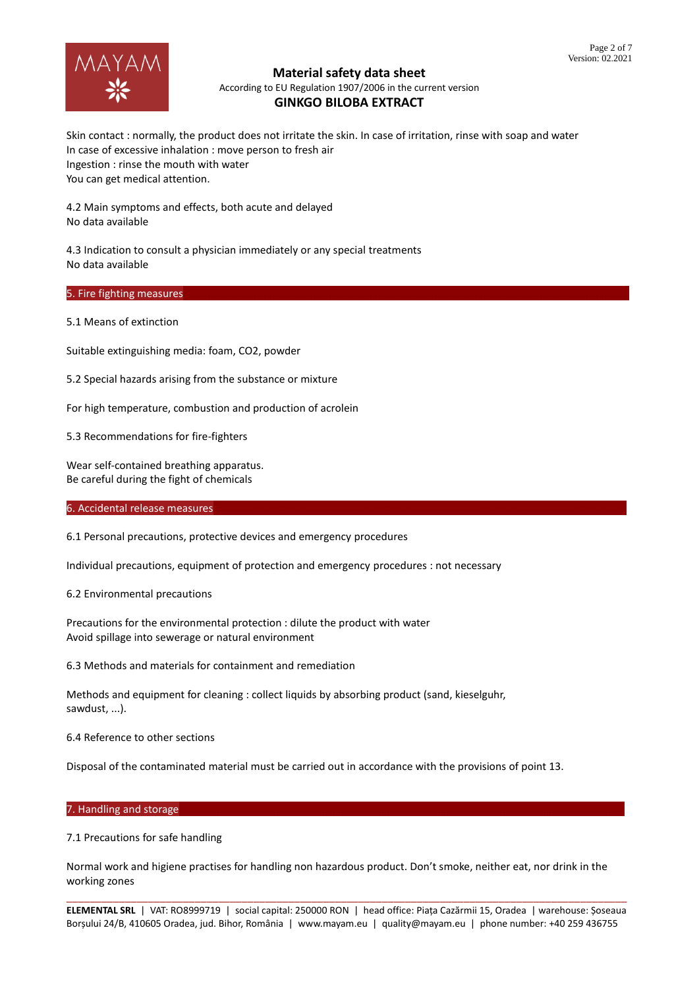

Skin contact : normally, the product does not irritate the skin. In case of irritation, rinse with soap and water In case of excessive inhalation : move person to fresh air Ingestion : rinse the mouth with water You can get medical attention.

4.2 Main symptoms and effects, both acute and delayed No data available

4.3 Indication to consult a physician immediately or any special treatments No data available

# 5. Fire fighting measures

5.1 Means of extinction

Suitable extinguishing media: foam, CO2, powder

5.2 Special hazards arising from the substance or mixture

For high temperature, combustion and production of acrolein

5.3 Recommendations for fire-fighters

Wear self-contained breathing apparatus. Be careful during the fight of chemicals

#### 6. Accidental release measures

6.1 Personal precautions, protective devices and emergency procedures

Individual precautions, equipment of protection and emergency procedures : not necessary

6.2 Environmental precautions

Precautions for the environmental protection : dilute the product with water Avoid spillage into sewerage or natural environment

6.3 Methods and materials for containment and remediation

Methods and equipment for cleaning : collect liquids by absorbing product (sand, kieselguhr, sawdust, ...).

6.4 Reference to other sections

Disposal of the contaminated material must be carried out in accordance with the provisions of point 13.

#### 7. Handling and storage

7.1 Precautions for safe handling

Normal work and higiene practises for handling non hazardous product. Don't smoke, neither eat, nor drink in the working zones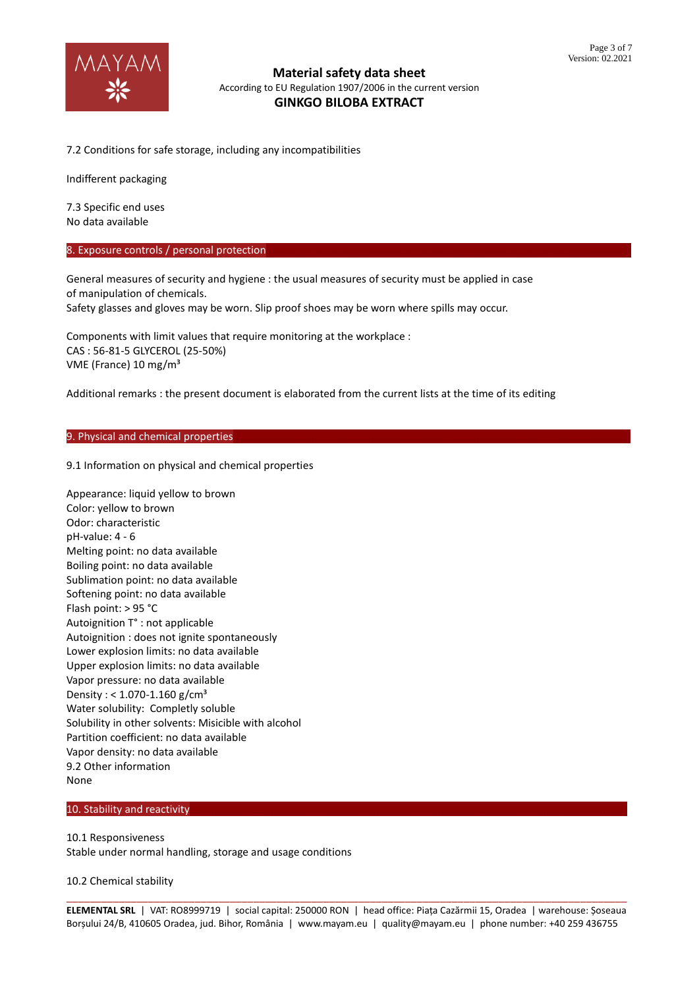

7.2 Conditions for safe storage, including any incompatibilities

Indifferent packaging

7.3 Specific end uses No data available

8. Exposure controls / personal protection

General measures of security and hygiene : the usual measures of security must be applied in case of manipulation of chemicals. Safety glasses and gloves may be worn. Slip proof shoes may be worn where spills may occur.

Components with limit values that require monitoring at the workplace : CAS : 56-81-5 GLYCEROL (25-50%) VME (France) 10 mg/m³

Additional remarks : the present document is elaborated from the current lists at the time of its editing

#### 9. Physical and chemical properties

9.1 Information on physical and chemical properties

Appearance: liquid yellow to brown Color: yellow to brown Odor: characteristic pH-value: 4 - 6 Melting point: no data available Boiling point: no data available Sublimation point: no data available Softening point: no data available Flash point: > 95 °C Autoignition T° : not applicable Autoignition : does not ignite spontaneously Lower explosion limits: no data available Upper explosion limits: no data available Vapor pressure: no data available Density : <  $1.070 - 1.160$  g/cm<sup>3</sup> Water solubility: Completly soluble Solubility in other solvents: Misicible with alcohol Partition coefficient: no data available Vapor density: no data available 9.2 Other information None

# 10. Stability and reactivity

10.1 Responsiveness Stable under normal handling, storage and usage conditions

10.2 Chemical stability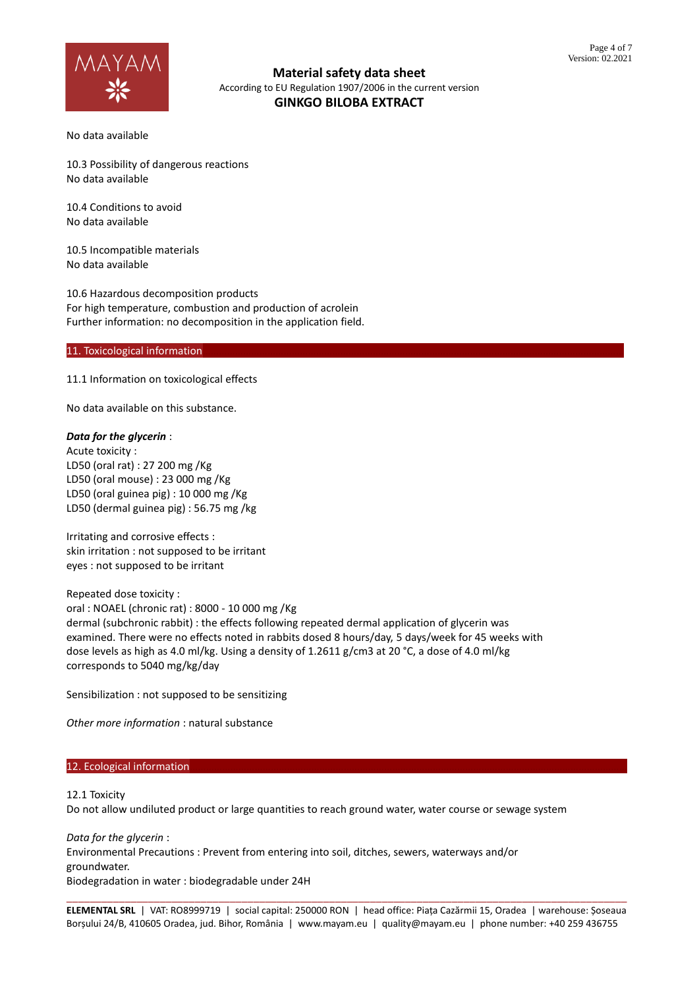

No data available

10.3 Possibility of dangerous reactions No data available

10.4 Conditions to avoid No data available

10.5 Incompatible materials No data available

10.6 Hazardous decomposition products For high temperature, combustion and production of acrolein Further information: no decomposition in the application field.

#### 11. Toxicological information

11.1 Information on toxicological effects

No data available on this substance.

#### *Data for the glycerin* :

Acute toxicity : LD50 (oral rat) : 27 200 mg /Kg LD50 (oral mouse) : 23 000 mg /Kg LD50 (oral guinea pig) : 10 000 mg /Kg LD50 (dermal guinea pig) : 56.75 mg /kg

Irritating and corrosive effects : skin irritation : not supposed to be irritant eyes : not supposed to be irritant

Repeated dose toxicity : oral : NOAEL (chronic rat) : 8000 - 10 000 mg /Kg dermal (subchronic rabbit) : the effects following repeated dermal application of glycerin was examined. There were no effects noted in rabbits dosed 8 hours/day, 5 days/week for 45 weeks with dose levels as high as 4.0 ml/kg. Using a density of 1.2611 g/cm3 at 20 °C, a dose of 4.0 ml/kg corresponds to 5040 mg/kg/day

Sensibilization : not supposed to be sensitizing

*Other more information* : natural substance

#### 12. Ecological information

12.1 Toxicity

Do not allow undiluted product or large quantities to reach ground water, water course or sewage system

*Data for the glycerin* : Environmental Precautions : Prevent from entering into soil, ditches, sewers, waterways and/or groundwater. Biodegradation in water : biodegradable under 24H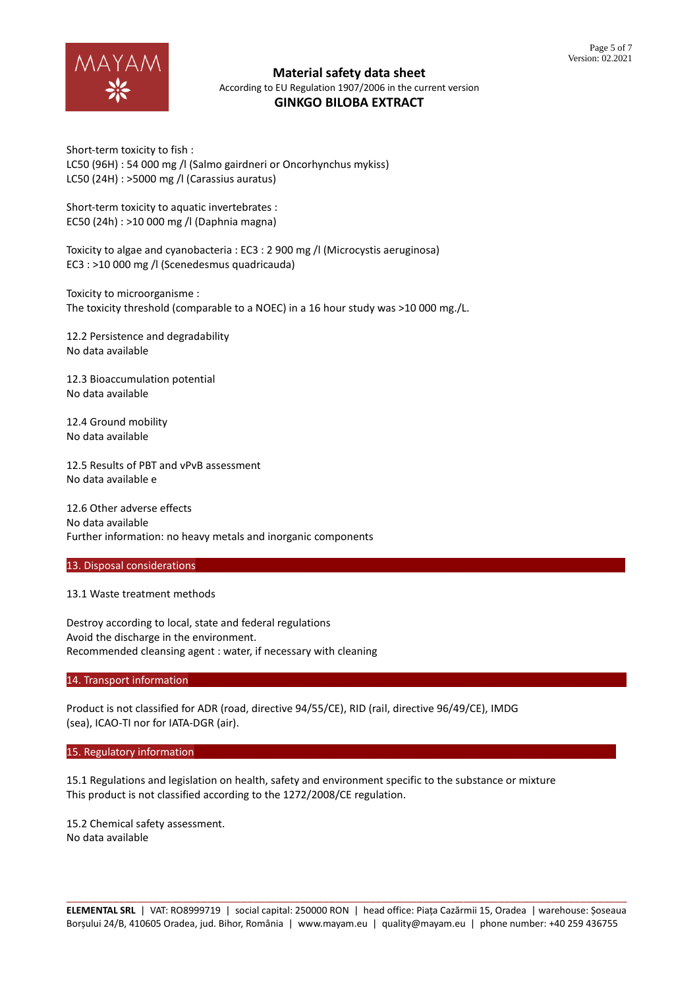

Short-term toxicity to fish : LC50 (96H) : 54 000 mg /l (Salmo gairdneri or Oncorhynchus mykiss) LC50 (24H) : >5000 mg /l (Carassius auratus)

Short-term toxicity to aquatic invertebrates : EC50 (24h) : >10 000 mg /l (Daphnia magna)

Toxicity to algae and cyanobacteria : EC3 : 2 900 mg /l (Microcystis aeruginosa) EC3 : >10 000 mg /l (Scenedesmus quadricauda)

Toxicity to microorganisme : The toxicity threshold (comparable to a NOEC) in a 16 hour study was >10 000 mg./L.

12.2 Persistence and degradability No data available

12.3 Bioaccumulation potential No data available

12.4 Ground mobility No data available

12.5 Results of PBT and vPvB assessment No data available e

12.6 Other adverse effects No data available Further information: no heavy metals and inorganic components

#### 13. Disposal considerations

#### 13.1 Waste treatment methods

Destroy according to local, state and federal regulations Avoid the discharge in the environment. Recommended cleansing agent : water, if necessary with cleaning

14. Transport information

Product is not classified for ADR (road, directive 94/55/CE), RID (rail, directive 96/49/CE), IMDG (sea), ICAO-TI nor for IATA-DGR (air).

#### 15. Regulatory information

15.1 Regulations and legislation on health, safety and environment specific to the substance or mixture This product is not classified according to the 1272/2008/CE regulation.

15.2 Chemical safety assessment. No data available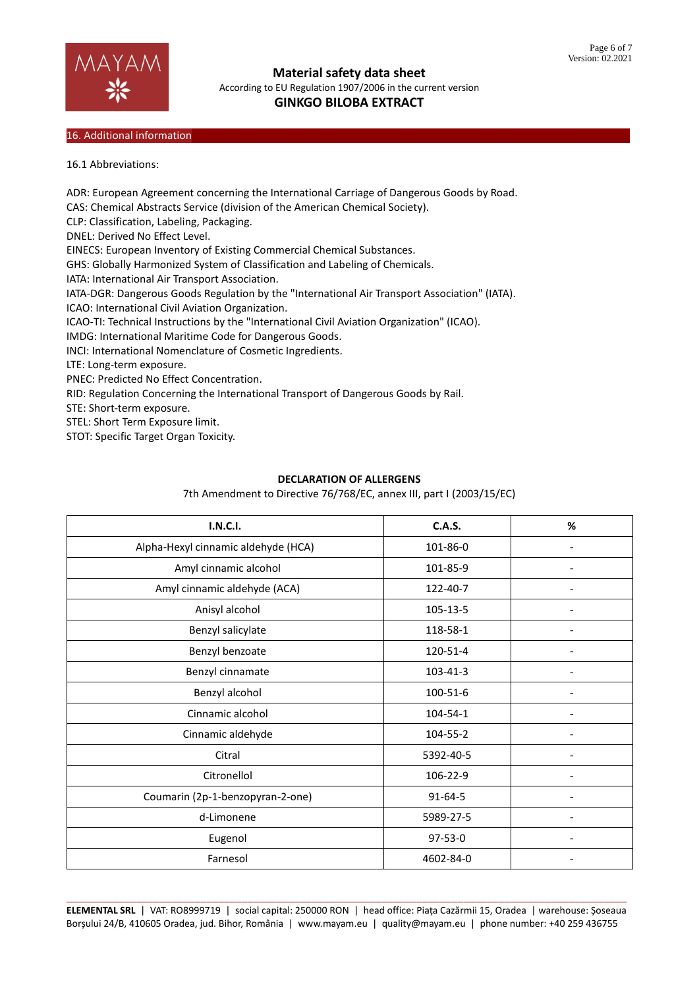

## 16. Additional information

16.1 Abbreviations:

ADR: European Agreement concerning the International Carriage of Dangerous Goods by Road. CAS: Chemical Abstracts Service (division of the American Chemical Society). CLP: Classification, Labeling, Packaging. DNEL: Derived No Effect Level. EINECS: European Inventory of Existing Commercial Chemical Substances. GHS: Globally Harmonized System of Classification and Labeling of Chemicals. IATA: International Air Transport Association. IATA-DGR: Dangerous Goods Regulation by the "International Air Transport Association" (IATA). ICAO: International Civil Aviation Organization. ICAO-TI: Technical Instructions by the "International Civil Aviation Organization" (ICAO). IMDG: International Maritime Code for Dangerous Goods. INCI: International Nomenclature of Cosmetic Ingredients. LTE: Long-term exposure. PNEC: Predicted No Effect Concentration. RID: Regulation Concerning the International Transport of Dangerous Goods by Rail. STE: Short-term exposure. STEL: Short Term Exposure limit. STOT: Specific Target Organ Toxicity.

# **DECLARATION OF ALLERGENS**

7th Amendment to Directive 76/768/EC, annex III, part I (2003/15/EC)

| <b>I.N.C.I.</b>                     | <b>C.A.S.</b> | $\%$                     |
|-------------------------------------|---------------|--------------------------|
| Alpha-Hexyl cinnamic aldehyde (HCA) | 101-86-0      |                          |
| Amyl cinnamic alcohol               | 101-85-9      |                          |
| Amyl cinnamic aldehyde (ACA)        | 122-40-7      |                          |
| Anisyl alcohol                      | 105-13-5      | $\overline{\phantom{a}}$ |
| Benzyl salicylate                   | 118-58-1      |                          |
| Benzyl benzoate                     | 120-51-4      |                          |
| Benzyl cinnamate                    | 103-41-3      |                          |
| Benzyl alcohol                      | 100-51-6      |                          |
| Cinnamic alcohol                    | 104-54-1      |                          |
| Cinnamic aldehyde                   | 104-55-2      | $\overline{\phantom{a}}$ |
| Citral                              | 5392-40-5     |                          |
| Citronellol                         | 106-22-9      |                          |
| Coumarin (2p-1-benzopyran-2-one)    | $91 - 64 - 5$ |                          |
| d-Limonene                          | 5989-27-5     |                          |
| Eugenol                             | 97-53-0       |                          |
| Farnesol                            | 4602-84-0     |                          |